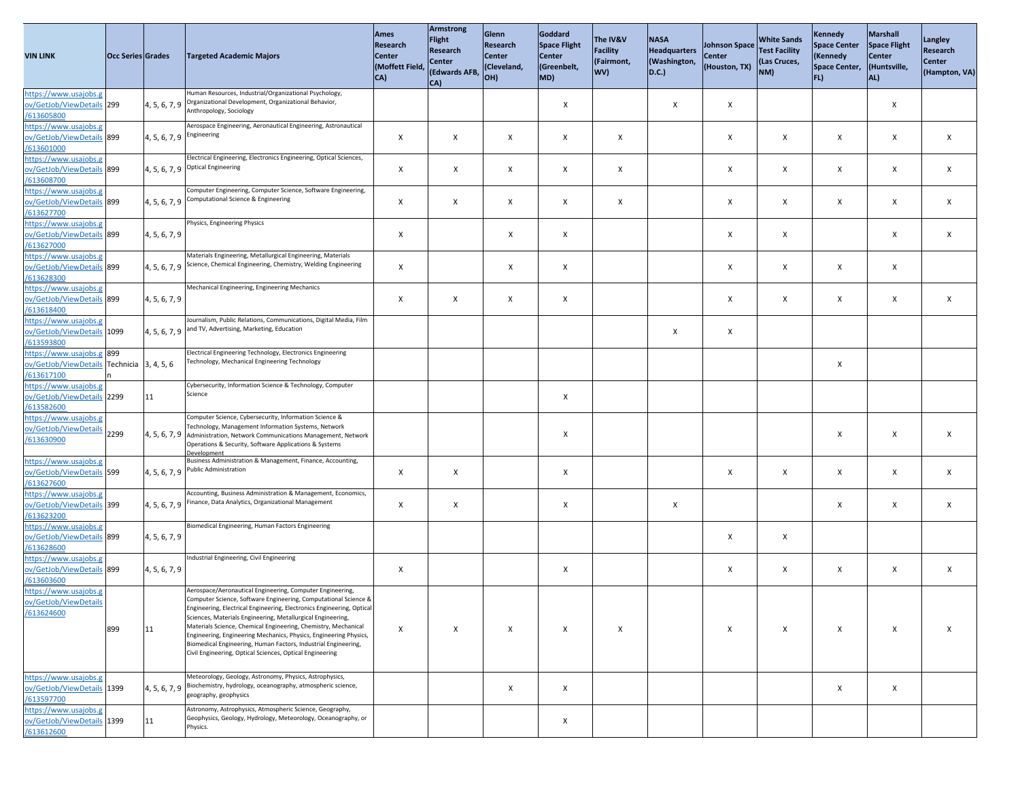| <b>VIN LINK</b>                                                                       | <b>Occ Series Grades</b> |                                          | <b>Targeted Academic Majors</b>                                                                                                                                                                                                                                                                                                                                                                                                                                                                                                           | <b>Ames</b><br>Research<br><b>Center</b><br>(Moffett Field,<br>$ CA\rangle$ | Armstrong<br><b>Flight</b><br><b>Research</b><br><b>Center</b><br>(Edwards AFB,<br>CA) | Glenn<br>Research<br><b>Center</b><br>(Cleveland,<br>$ OH\rangle$ | Goddard<br>Space Flight<br><b>Center</b><br>(Greenbelt,<br>MD) | The IV&V<br><b>Facility</b><br>(Fairmont,<br><b>WV)</b> | <b>NASA</b><br>Headquarters<br>(Washington,<br>$ D.C.\rangle$ | Johnson Space<br><b>Center</b><br>(Houston, TX) | <b>White Sands</b><br><b>Test Facility</b><br>(Las Cruces,<br>NM) | <b>Kennedy</b><br><b>Space Center</b><br>(Kennedy<br>Space Center,<br> FL | Marshall<br>Space Flight<br><b>Center</b><br>(Huntsville,<br> AL | Langley<br><b>Research</b><br><b>Center</b><br>(Hampton, VA) |
|---------------------------------------------------------------------------------------|--------------------------|------------------------------------------|-------------------------------------------------------------------------------------------------------------------------------------------------------------------------------------------------------------------------------------------------------------------------------------------------------------------------------------------------------------------------------------------------------------------------------------------------------------------------------------------------------------------------------------------|-----------------------------------------------------------------------------|----------------------------------------------------------------------------------------|-------------------------------------------------------------------|----------------------------------------------------------------|---------------------------------------------------------|---------------------------------------------------------------|-------------------------------------------------|-------------------------------------------------------------------|---------------------------------------------------------------------------|------------------------------------------------------------------|--------------------------------------------------------------|
| https://www.usajobs.g<br>ov/GetJob/ViewDetails 299<br>/613605800                      |                          |                                          | Human Resources, Industrial/Organizational Psychology,<br>4, 5, 6, 7, 9 Organizational Development, Organizational Behavior,<br>Anthropology, Sociology                                                                                                                                                                                                                                                                                                                                                                                   |                                                                             |                                                                                        |                                                                   | X                                                              |                                                         | $\boldsymbol{\mathsf{X}}$                                     | $\pmb{\times}$                                  |                                                                   |                                                                           | $\mathsf{X}$                                                     |                                                              |
| https://www.usajobs.g<br>ov/GetJob/ViewDetails 899<br>/613601000                      |                          | $\left[4, 5, 6, 7, 9\right]$ Engineering | Aerospace Engineering, Aeronautical Engineering, Astronautical                                                                                                                                                                                                                                                                                                                                                                                                                                                                            | $\boldsymbol{\mathsf{X}}$                                                   | X                                                                                      | $\boldsymbol{\mathsf{X}}$                                         | $\mathsf{X}$                                                   | $\boldsymbol{\mathsf{X}}$                               |                                                               | $\boldsymbol{\mathsf{X}}$                       | $\mathsf{X}$                                                      | X                                                                         | $\mathsf{X}$                                                     | $\boldsymbol{\mathsf{x}}$                                    |
| https://www.usajobs.g<br>ov/GetJob/ViewDetails 899<br>/613608700                      |                          |                                          | Electrical Engineering, Electronics Engineering, Optical Sciences,<br>$\left 4, 5, 6, 7, 9\right $ Optical Engineering                                                                                                                                                                                                                                                                                                                                                                                                                    | $\boldsymbol{\mathsf{X}}$                                                   | X                                                                                      | $\boldsymbol{\mathsf{X}}$                                         | $\mathsf{X}$                                                   | X                                                       |                                                               | $\boldsymbol{\mathsf{X}}$                       | $\boldsymbol{X}$                                                  | X                                                                         | X                                                                | $\mathsf{X}$                                                 |
| https://www.usajobs.g<br>ov/GetJob/ViewDetails 899<br>/613627700                      |                          |                                          | Computer Engineering, Computer Science, Software Engineering,<br>$\vert$ 4, 5, 6, 7, 9 $\vert$ Computational Science & Engineering                                                                                                                                                                                                                                                                                                                                                                                                        | X                                                                           | $\mathsf{X}$                                                                           | $\mathsf{X}$                                                      | X                                                              | X                                                       |                                                               | $\boldsymbol{\mathsf{X}}$                       | $\mathsf{X}$                                                      | X                                                                         | $\mathsf{X}$                                                     | $\mathsf{X}$                                                 |
| https://www.usajobs.g<br>ov/GetJob/ViewDetails 899<br>/613627000                      |                          | 4, 5, 6, 7, 9                            | Physics, Engineering Physics                                                                                                                                                                                                                                                                                                                                                                                                                                                                                                              | $\times$                                                                    |                                                                                        | $\mathsf{X}$                                                      | $\mathsf{X}$                                                   |                                                         |                                                               | $\boldsymbol{\mathsf{X}}$                       | $\mathsf{X}$                                                      |                                                                           | $\boldsymbol{\mathsf{X}}$                                        | $\mathsf{X}$                                                 |
| https://www.usajobs.g<br>ov/GetJob/ViewDetails 899<br>/613628300                      |                          |                                          | Materials Engineering, Metallurgical Engineering, Materials<br>4, 5, 6, 7, 9 Science, Chemical Engineering, Chemistry, Welding Engineering                                                                                                                                                                                                                                                                                                                                                                                                | $\boldsymbol{\mathsf{X}}$                                                   |                                                                                        | $\mathsf{X}$                                                      | $\mathsf X$                                                    |                                                         |                                                               | $\boldsymbol{\mathsf{X}}$                       | $\boldsymbol{\mathsf{X}}$                                         | X                                                                         | $\mathsf{X}$                                                     |                                                              |
| https://www.usajobs.g<br>ov/GetJob/ViewDetails 899<br>/613618400                      |                          | 4, 5, 6, 7, 9                            | Mechanical Engineering, Engineering Mechanics<br>Journalism, Public Relations, Communications, Digital Media, Film                                                                                                                                                                                                                                                                                                                                                                                                                        | $\boldsymbol{\mathsf{X}}$                                                   | X                                                                                      | $\mathsf{X}$                                                      | $\mathsf{X}$                                                   |                                                         |                                                               | $\mathsf{X}$                                    | $\mathsf{X}$                                                      | X                                                                         | $\mathsf{X}$                                                     | $\times$                                                     |
| https://www.usajobs.g<br>ov/GetJob/ViewDetails 1099<br>/613593800                     |                          |                                          | $\left[4, 5, 6, 7, 9\right]$ and TV, Advertising, Marketing, Education<br>Electrical Engineering Technology, Electronics Engineering                                                                                                                                                                                                                                                                                                                                                                                                      |                                                                             |                                                                                        |                                                                   |                                                                |                                                         | $\boldsymbol{\mathsf{X}}$                                     | $\mathsf{X}$                                    |                                                                   |                                                                           |                                                                  |                                                              |
| https://www.usajobs.g 899<br>ov/GetJob/ViewDetails Technicia 3, 4, 5, 6<br>/613617100 |                          |                                          | Technology, Mechanical Engineering Technology<br>Cybersecurity, Information Science & Technology, Computer                                                                                                                                                                                                                                                                                                                                                                                                                                |                                                                             |                                                                                        |                                                                   |                                                                |                                                         |                                                               |                                                 |                                                                   | $\mathsf{X}$                                                              |                                                                  |                                                              |
| https://www.usajobs.g<br>ov/GetJob/ViewDetails 2299<br>/613582600                     |                          | 11                                       | Science<br>Computer Science, Cybersecurity, Information Science &                                                                                                                                                                                                                                                                                                                                                                                                                                                                         |                                                                             |                                                                                        |                                                                   | X                                                              |                                                         |                                                               |                                                 |                                                                   |                                                                           |                                                                  |                                                              |
| https://www.usajobs.g<br>ov/GetJob/ViewDetails 2299<br>/613630900                     |                          |                                          | Technology, Management Information Systems, Network<br>4, 5, 6, 7, 9 Administration, Network Communications Management, Network<br>Operations & Security, Software Applications & Systems<br>Development                                                                                                                                                                                                                                                                                                                                  |                                                                             |                                                                                        |                                                                   | X                                                              |                                                         |                                                               |                                                 |                                                                   | X                                                                         | $\boldsymbol{\mathsf{X}}$                                        |                                                              |
| https://www.usajobs.g<br>ov/GetJob/ViewDetails 599<br>/613627600                      |                          |                                          | Business Administration & Management, Finance, Accounting,<br>$\left[4, 5, 6, 7, 9\right]$ Public Administration                                                                                                                                                                                                                                                                                                                                                                                                                          | $\mathsf{X}$                                                                | X                                                                                      |                                                                   | $\pmb{\mathsf{X}}$                                             |                                                         |                                                               | $\mathsf{X}$                                    | X                                                                 | X                                                                         | $\mathsf{X}$                                                     | $\mathsf{X}$                                                 |
| https://www.usajobs.g<br>ov/GetJob/ViewDetails 399<br>/613623200                      |                          |                                          | Accounting, Business Administration & Management, Economics,<br>4, 5, 6, 7, 9 Finance, Data Analytics, Organizational Management                                                                                                                                                                                                                                                                                                                                                                                                          | $\boldsymbol{\mathsf{X}}$                                                   | X                                                                                      |                                                                   | X                                                              |                                                         | $\boldsymbol{\mathsf{X}}$                                     |                                                 |                                                                   | X                                                                         | $\mathsf{X}$                                                     | $\times$                                                     |
| https://www.usajobs.g<br>ov/GetJob/ViewDetails 899<br>/613628600                      |                          | 4, 5, 6, 7, 9                            | Biomedical Engineering, Human Factors Engineering                                                                                                                                                                                                                                                                                                                                                                                                                                                                                         |                                                                             |                                                                                        |                                                                   |                                                                |                                                         |                                                               | $\boldsymbol{\mathsf{X}}$                       | $\mathsf{X}$                                                      |                                                                           |                                                                  |                                                              |
| https://www.usajobs.g<br>ov/GetJob/ViewDetails 899<br>/613603600                      |                          | 4, 5, 6, 7, 9                            | Industrial Engineering, Civil Engineering                                                                                                                                                                                                                                                                                                                                                                                                                                                                                                 | $\mathsf{X}$                                                                |                                                                                        |                                                                   | $\mathsf{X}$                                                   |                                                         |                                                               | X                                               | $\boldsymbol{X}$                                                  | X                                                                         | $\boldsymbol{\mathsf{X}}$                                        | $\boldsymbol{\mathsf{X}}$                                    |
| https://www.usajobs.g<br>ov/GetJob/ViewDetails<br>/613624600                          | 899                      | 11                                       | Aerospace/Aeronautical Engineering, Computer Engineering,<br>Computer Science, Software Engineering, Computational Science &<br>Engineering, Electrical Engineering, Electronics Engineering, Optical<br>Sciences, Materials Engineering, Metallurgical Engineering,<br>Materials Science, Chemical Engineering, Chemistry, Mechanical<br>Engineering, Engineering Mechanics, Physics, Engineering Physics,<br>Biomedical Engineering, Human Factors, Industrial Engineering,<br>Civil Engineering, Optical Sciences, Optical Engineering | $\boldsymbol{\mathsf{X}}$                                                   | X                                                                                      | $\mathsf{X}$                                                      | $\mathsf{X}$                                                   | X                                                       |                                                               | $\mathsf{X}$                                    | $\mathsf{X}$                                                      | X                                                                         | $\mathsf{X}$                                                     | $\boldsymbol{\mathsf{x}}$                                    |
| https://www.usajobs.g<br>ov/GetJob/ViewDetails 1399<br>/613597700                     |                          |                                          | Meteorology, Geology, Astronomy, Physics, Astrophysics,<br>4, 5, 6, 7, 9 Biochemistry, hydrology, oceanography, atmospheric science,<br>geography, geophysics                                                                                                                                                                                                                                                                                                                                                                             |                                                                             |                                                                                        | $\mathsf{X}$                                                      | $\mathsf{X}$                                                   |                                                         |                                                               |                                                 |                                                                   | X                                                                         | $\boldsymbol{X}$                                                 |                                                              |
| https://www.usajobs.g<br>ov/GetJob/ViewDetails 1399<br>/613612600                     |                          | 11                                       | Astronomy, Astrophysics, Atmospheric Science, Geography,<br>Geophysics, Geology, Hydrology, Meteorology, Oceanography, or<br>Physics.                                                                                                                                                                                                                                                                                                                                                                                                     |                                                                             |                                                                                        |                                                                   | X                                                              |                                                         |                                                               |                                                 |                                                                   |                                                                           |                                                                  |                                                              |